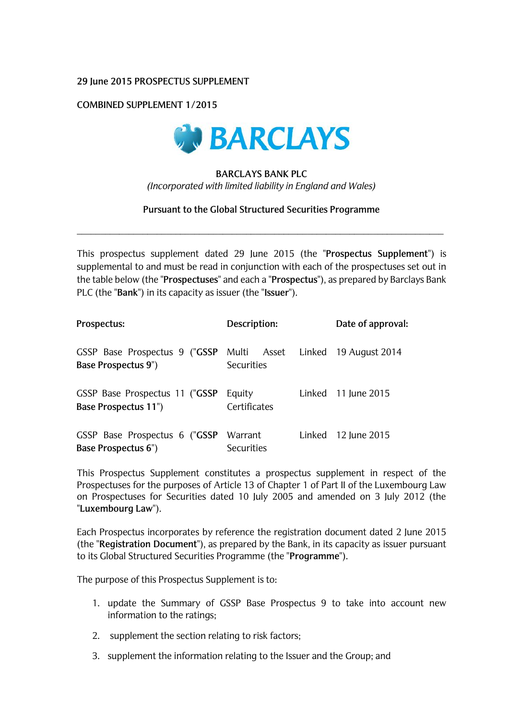### **29 June 2015 PROSPECTUS SUPPLEMENT**

## **COMBINED SUPPLEMENT 1/2015**



# **BARCLAYS BANK PLC**  *(Incorporated with limited liability in England and Wales)*

#### **Pursuant to the Global Structured Securities Programme**

\_\_\_\_\_\_\_\_\_\_\_\_\_\_\_\_\_\_\_\_\_\_\_\_\_\_\_\_\_\_\_\_\_\_\_\_\_\_\_\_\_\_\_\_\_\_\_\_\_\_\_\_\_\_\_\_\_\_\_\_\_\_\_\_\_\_\_\_\_\_\_\_\_\_\_\_\_\_

This prospectus supplement dated 29 June 2015 (the "**Prospectus Supplement**") is supplemental to and must be read in conjunction with each of the prospectuses set out in the table below (the "**Prospectuses**" and each a "**Prospectus**"), as prepared by Barclays Bank PLC (the "**Bank**") in its capacity as issuer (the "**Issuer**").

| Prospectus:                                                                            | Description:           |        | Date of approval:   |
|----------------------------------------------------------------------------------------|------------------------|--------|---------------------|
| GSSP Base Prospectus 9 ("GSSP Multi Asset Linked 19 August 2014<br>Base Prospectus 9") | <b>Securities</b>      |        |                     |
| GSSP Base Prospectus 11 ("GSSP<br><b>Base Prospectus 11")</b>                          | Equity<br>Certificates |        | Linked 11 June 2015 |
| GSSP Base Prospectus 6 ("GSSP<br>Base Prospectus 6")                                   | Warrant<br>Securities  | Linked | 12 June 2015        |

This Prospectus Supplement constitutes a prospectus supplement in respect of the Prospectuses for the purposes of Article 13 of Chapter 1 of Part II of the Luxembourg Law on Prospectuses for Securities dated 10 July 2005 and amended on 3 July 2012 (the "**Luxembourg Law**").

Each Prospectus incorporates by reference the registration document dated 2 June 2015 (the "**Registration Document**"), as prepared by the Bank, in its capacity as issuer pursuant to its Global Structured Securities Programme (the "**Programme**").

The purpose of this Prospectus Supplement is to:

- 1. update the Summary of GSSP Base Prospectus 9 to take into account new information to the ratings;
- 2. supplement the section relating to risk factors;
- 3. supplement the information relating to the Issuer and the Group; and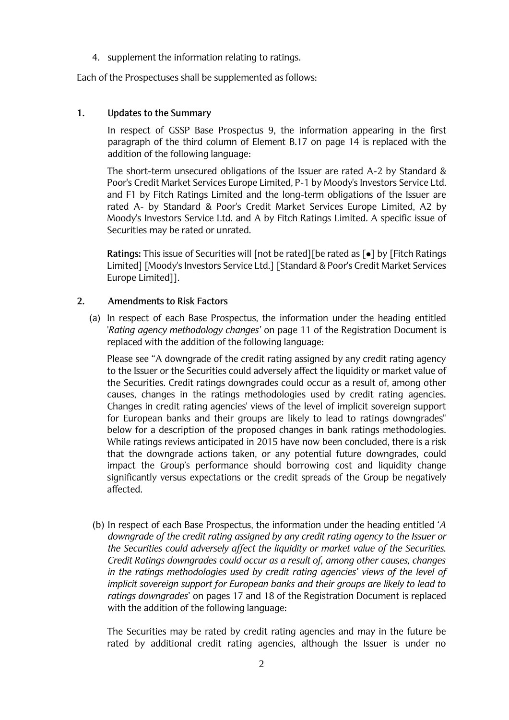4. supplement the information relating to ratings.

Each of the Prospectuses shall be supplemented as follows:

# **1. Updates to the Summary**

In respect of GSSP Base Prospectus 9, the information appearing in the first paragraph of the third column of Element B.17 on page 14 is replaced with the addition of the following language:

The short-term unsecured obligations of the Issuer are rated A-2 by Standard & Poor's Credit Market Services Europe Limited, P-1 by Moody's Investors Service Ltd. and F1 by Fitch Ratings Limited and the long-term obligations of the Issuer are rated A- by Standard & Poor's Credit Market Services Europe Limited, A2 by Moody's Investors Service Ltd. and A by Fitch Ratings Limited. A specific issue of Securities may be rated or unrated.

Ratings: This issue of Securities will [not be rated][be rated as [ $\bullet$ ] by [Fitch Ratings] Limited] [Moody's Investors Service Ltd.] [Standard & Poor's Credit Market Services Europe Limited]].

# **2. Amendments to Risk Factors**

(a) In respect of each Base Prospectus, the information under the heading entitled '*Rating agency methodology changes'* on page 11 of the Registration Document is replaced with the addition of the following language:

Please see "A downgrade of the credit rating assigned by any credit rating agency to the Issuer or the Securities could adversely affect the liquidity or market value of the Securities. Credit ratings downgrades could occur as a result of, among other causes, changes in the ratings methodologies used by credit rating agencies. Changes in credit rating agencies' views of the level of implicit sovereign support for European banks and their groups are likely to lead to ratings downgrades" below for a description of the proposed changes in bank ratings methodologies. While ratings reviews anticipated in 2015 have now been concluded, there is a risk that the downgrade actions taken, or any potential future downgrades, could impact the Group's performance should borrowing cost and liquidity change significantly versus expectations or the credit spreads of the Group be negatively affected.

(b) In respect of each Base Prospectus, the information under the heading entitled '*A downgrade of the credit rating assigned by any credit rating agency to the Issuer or the Securities could adversely affect the liquidity or market value of the Securities. Credit Ratings downgrades could occur as a result of, among other causes, changes in the ratings methodologies used by credit rating agencies' views of the level of implicit sovereign support for European banks and their groups are likely to lead to ratings downgrades*' on pages 17 and 18 of the Registration Document is replaced with the addition of the following language:

The Securities may be rated by credit rating agencies and may in the future be rated by additional credit rating agencies, although the Issuer is under no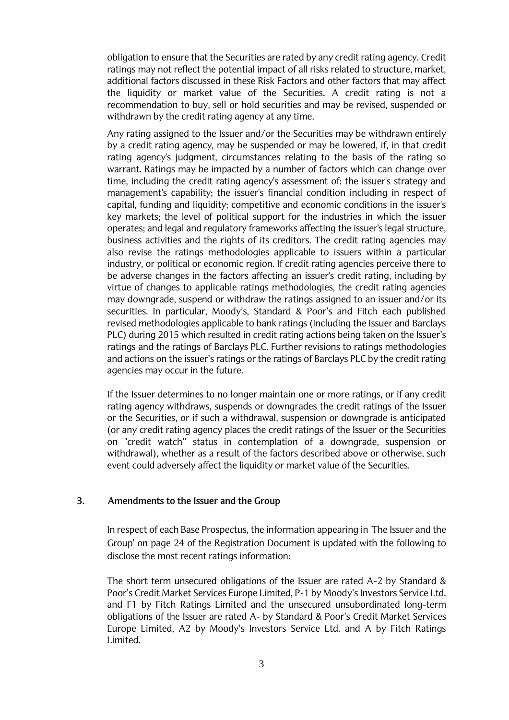obligation to ensure that the Securities are rated by any credit rating agency. Credit ratings may not reflect the potential impact of all risks related to structure, market, additional factors discussed in these Risk Factors and other factors that may affect the liquidity or market value of the Securities. A credit rating is not a recommendation to buy, sell or hold securities and may be revised, suspended or withdrawn by the credit rating agency at any time.

Any rating assigned to the Issuer and/or the Securities may be withdrawn entirely by a credit rating agency, may be suspended or may be lowered, if, in that credit rating agency's judgment, circumstances relating to the basis of the rating so warrant. Ratings may be impacted by a number of factors which can change over time, including the credit rating agency's assessment of: the issuer's strategy and management's capability; the issuer's financial condition including in respect of capital, funding and liquidity; competitive and economic conditions in the issuer's key markets; the level of political support for the industries in which the issuer operates; and legal and regulatory frameworks affecting the issuer's legal structure, business activities and the rights of its creditors. The credit rating agencies may also revise the ratings methodologies applicable to issuers within a particular industry, or political or economic region. If credit rating agencies perceive there to be adverse changes in the factors affecting an issuer's credit rating, including by virtue of changes to applicable ratings methodologies, the credit rating agencies may downgrade, suspend or withdraw the ratings assigned to an issuer and/or its securities. In particular, Moody's, Standard & Poor's and Fitch each published revised methodologies applicable to bank ratings (including the Issuer and Barclays PLC) during 2015 which resulted in credit rating actions being taken on the Issuer's ratings and the ratings of Barclays PLC. Further revisions to ratings methodologies and actions on the issuer's ratings or the ratings of Barclays PLC by the credit rating agencies may occur in the future.

If the Issuer determines to no longer maintain one or more ratings, or if any credit rating agency withdraws, suspends or downgrades the credit ratings of the Issuer or the Securities, or if such a withdrawal, suspension or downgrade is anticipated (or any credit rating agency places the credit ratings of the Issuer or the Securities on "credit watch" status in contemplation of a downgrade, suspension or withdrawal), whether as a result of the factors described above or otherwise, such event could adversely affect the liquidity or market value of the Securities.

#### **3. Amendments to the Issuer and the Group**

In respect of each Base Prospectus, the information appearing in 'The Issuer and the Group' on page 24 of the Registration Document is updated with the following to disclose the most recent ratings information:

The short term unsecured obligations of the Issuer are rated A-2 by Standard & Poor's Credit Market Services Europe Limited, P-1 by Moody's Investors Service Ltd. and F1 by Fitch Ratings Limited and the unsecured unsubordinated long-term obligations of the Issuer are rated A- by Standard & Poor's Credit Market Services Europe Limited, A2 by Moody's Investors Service Ltd. and A by Fitch Ratings Limited.